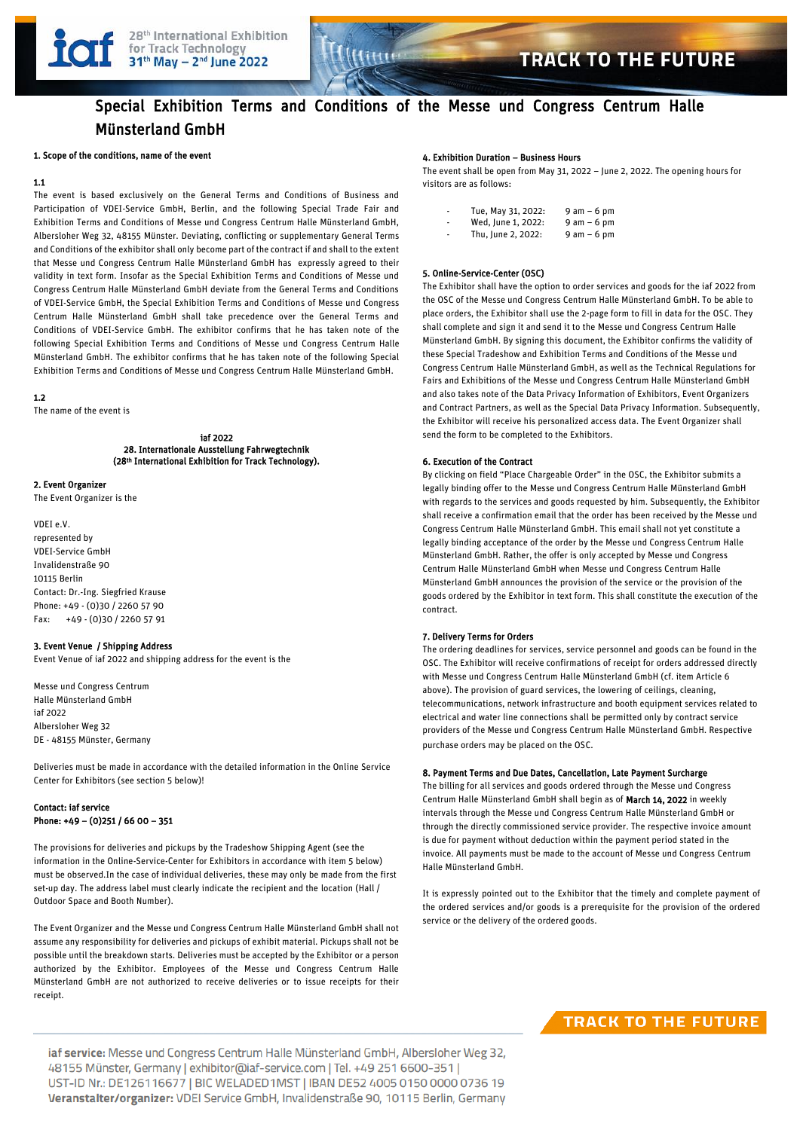# Special Exhibition Terms and Conditions of the Messe und Congress Centrum Halle Münsterland GmbH

# 1. Scope of the conditions, name of the event

# 1.1

The event is based exclusively on the General Terms and Conditions of Business and Participation of VDEI-Service GmbH, Berlin, and the following Special Trade Fair and Exhibition Terms and Conditions of Messe und Congress Centrum Halle Münsterland GmbH, Albersloher Weg 32, 48155 Münster. Deviating, conflicting or supplementary General Terms and Conditions of the exhibitor shall only become part of the contract if and shall to the extent that Messe und Congress Centrum Halle Münsterland GmbH has expressly agreed to their validity in text form. Insofar as the Special Exhibition Terms and Conditions of Messe und Congress Centrum Halle Münsterland GmbH deviate from the General Terms and Conditions of VDEI-Service GmbH, the Special Exhibition Terms and Conditions of Messe und Congress Centrum Halle Münsterland GmbH shall take precedence over the General Terms and Conditions of VDEI-Service GmbH. The exhibitor confirms that he has taken note of the following Special Exhibition Terms and Conditions of Messe und Congress Centrum Halle Münsterland GmbH. The exhibitor confirms that he has taken note of the following Special Exhibition Terms and Conditions of Messe und Congress Centrum Halle Münsterland GmbH.

# 1.2

The name of the event is

iaf 2022 28. Internationale Ausstellung Fahrwegtechnik (28th International Exhibition for Track Technology).

# 2. Event Organizer

The Event Organizer is the

VDEI e.V. represented by VDEI-Service GmbH Invalidenstraße 90 10115 Berlin Contact: Dr.-Ing. Siegfried Krause Phone: +49 - (0)30 / 2260 57 90 Fax: +49 - (0)30 / 2260 57 91

# 3. Event Venue / Shipping Address

Event Venue of iaf 2022 and shipping address for the event is the

Messe und Congress Centrum Halle Münsterland GmbH iaf 2022 Albersloher Weg 32 DE - 48155 Münster, Germany

Deliveries must be made in accordance with the detailed information in the Online Service Center for Exhibitors (see section 5 below)!

# Contact: iaf service Phone: +49 – (0)251 / 66 00 – 351

The provisions for deliveries and pickups by the Tradeshow Shipping Agent (see the information in the Online-Service-Center for Exhibitors in accordance with item 5 below) must be observed.In the case of individual deliveries, these may only be made from the first set-up day. The address label must clearly indicate the recipient and the location (Hall / Outdoor Space and Booth Number).

The Event Organizer and the Messe und Congress Centrum Halle Münsterland GmbH shall not assume any responsibility for deliveries and pickups of exhibit material. Pickups shall not be possible until the breakdown starts. Deliveries must be accepted by the Exhibitor or a person authorized by the Exhibitor. Employees of the Messe und Congress Centrum Halle Münsterland GmbH are not authorized to receive deliveries or to issue receipts for their receipt.

#### 4. Exhibition Duration – Business Hours

The event shall be open from May 31, 2022 – June 2, 2022. The opening hours for visitors are as follows:

| ٠  | Tue, May 31, 2022: | $9am - 6pm$ |
|----|--------------------|-------------|
| ÷. | Wed, June 1, 2022: | $9am - 6pm$ |
| ٠  | Thu, June 2, 2022: | $9am - 6pm$ |

# 5. Online-Service-Center (OSC)

The Exhibitor shall have the option to order services and goods for the iaf 2022 from the OSC of the Messe und Congress Centrum Halle Münsterland GmbH. To be able to place orders, the Exhibitor shall use the 2-page form to fill in data for the OSC. They shall complete and sign it and send it to the Messe und Congress Centrum Halle Münsterland GmbH. By signing this document, the Exhibitor confirms the validity of these Special Tradeshow and Exhibition Terms and Conditions of the Messe und Congress Centrum Halle Münsterland GmbH, as well as the Technical Regulations for Fairs and Exhibitions of the Messe und Congress Centrum Halle Münsterland GmbH and also takes note of the Data Privacy Information of Exhibitors, Event Organizers and Contract Partners, as well as the Special Data Privacy Information, Subsequently, the Exhibitor will receive his personalized access data. The Event Organizer shall send the form to be completed to the Exhibitors.

# 6. Execution of the Contract

By clicking on field "Place Chargeable Order" in the OSC, the Exhibitor submits a legally binding offer to the Messe und Congress Centrum Halle Münsterland GmbH with regards to the services and goods requested by him. Subsequently, the Exhibitor shall receive a confirmation email that the order has been received by the Messe und Congress Centrum Halle Münsterland GmbH. This email shall not yet constitute a legally binding acceptance of the order by the Messe und Congress Centrum Halle Münsterland GmbH. Rather, the offer is only accepted by Messe und Congress Centrum Halle Münsterland GmbH when Messe und Congress Centrum Halle Münsterland GmbH announces the provision of the service or the provision of the goods ordered by the Exhibitor in text form. This shall constitute the execution of the contract.

# 7. Delivery Terms for Orders

l

The ordering deadlines for services, service personnel and goods can be found in the OSC. The Exhibitor will receive confirmations of receipt for orders addressed directly with Messe und Congress Centrum Halle Münsterland GmbH (cf. item Article 6 above). The provision of guard services, the lowering of ceilings, cleaning, telecommunications, network infrastructure and booth equipment services related to electrical and water line connections shall be permitted only by contract service providers of the Messe und Congress Centrum Halle Münsterland GmbH. Respective purchase orders may be placed on the OSC.

# 8. Payment Terms and Due Dates, Cancellation, Late Payment Surcharge

The billing for all services and goods ordered through the Messe und Congress Centrum Halle Münsterland GmbH shall begin as of March 14, 2022 in weekly intervals through the Messe und Congress Centrum Halle Münsterland GmbH or through the directly commissioned service provider. The respective invoice amount is due for payment without deduction within the payment period stated in the invoice. All payments must be made to the account of Messe und Congress Centrum Halle Münsterland GmbH.

It is expressly pointed out to the Exhibitor that the timely and complete payment of the ordered services and/or goods is a prerequisite for the provision of the ordered service or the delivery of the ordered goods.

# **TRACK TO THE FUTURE**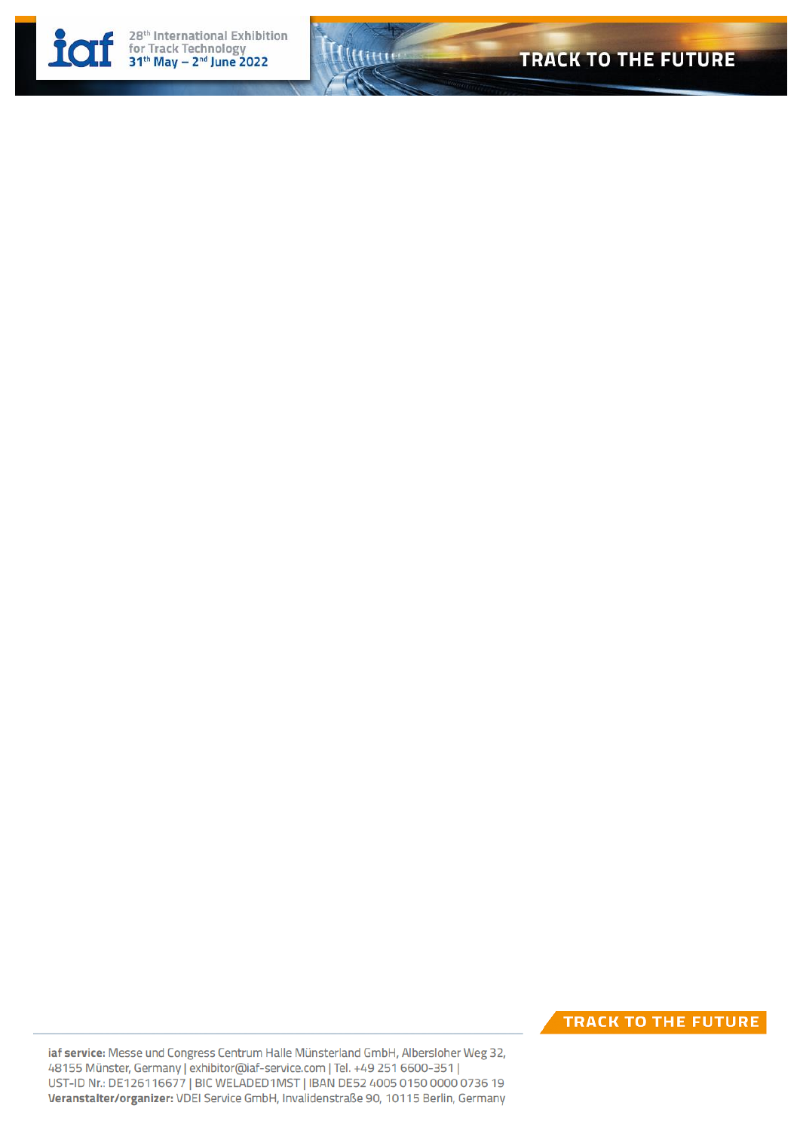

**TRACK TO THE FUTURE**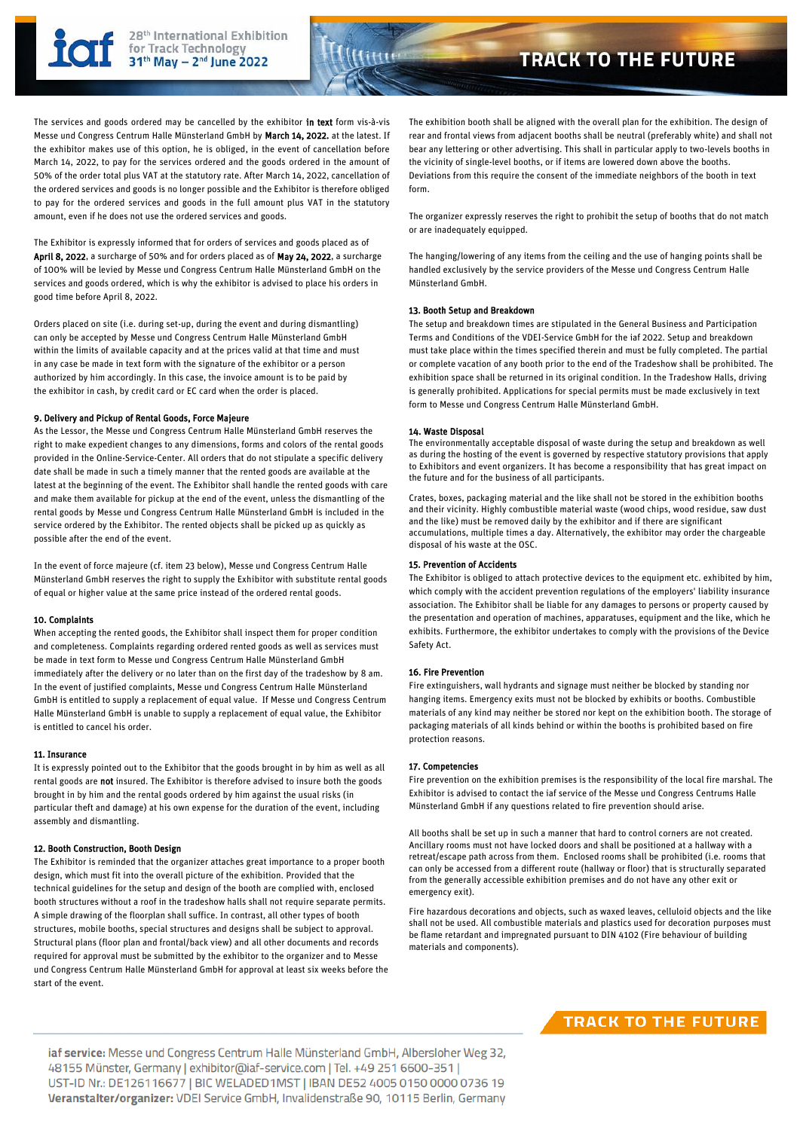The services and goods ordered may be cancelled by the exhibitor in text form vis-à-vis Messe und Congress Centrum Halle Münsterland GmbH by March 14, 2022. at the latest. If the exhibitor makes use of this option, he is obliged, in the event of cancellation before March 14, 2022, to pay for the services ordered and the goods ordered in the amount of 50% of the order total plus VAT at the statutory rate. After March 14, 2022, cancellation of the ordered services and goods is no longer possible and the Exhibitor is therefore obliged to pay for the ordered services and goods in the full amount plus VAT in the statutory amount, even if he does not use the ordered services and goods.

The Exhibitor is expressly informed that for orders of services and goods placed as of April 8, 2022, a surcharge of 50% and for orders placed as of May 24, 2022, a surcharge of 100% will be levied by Messe und Congress Centrum Halle Münsterland GmbH on the services and goods ordered, which is why the exhibitor is advised to place his orders in good time before April 8, 2022.

Orders placed on site (i.e. during set-up, during the event and during dismantling) can only be accepted by Messe und Congress Centrum Halle Münsterland GmbH within the limits of available capacity and at the prices valid at that time and must in any case be made in text form with the signature of the exhibitor or a person authorized by him accordingly. In this case, the invoice amount is to be paid by the exhibitor in cash, by credit card or EC card when the order is placed.

# 9. Delivery and Pickup of Rental Goods, Force Majeure

As the Lessor, the Messe und Congress Centrum Halle Münsterland GmbH reserves the right to make expedient changes to any dimensions, forms and colors of the rental goods provided in the Online-Service-Center. All orders that do not stipulate a specific delivery date shall be made in such a timely manner that the rented goods are available at the latest at the beginning of the event. The Exhibitor shall handle the rented goods with care and make them available for pickup at the end of the event, unless the dismantling of the rental goods by Messe und Congress Centrum Halle Münsterland GmbH is included in the service ordered by the Exhibitor. The rented objects shall be picked up as quickly as possible after the end of the event.

In the event of force majeure (cf. item 23 below), Messe und Congress Centrum Halle Münsterland GmbH reserves the right to supply the Exhibitor with substitute rental goods of equal or higher value at the same price instead of the ordered rental goods.

#### 10. Complaints

When accepting the rented goods, the Exhibitor shall inspect them for proper condition and completeness. Complaints regarding ordered rented goods as well as services must be made in text form to Messe und Congress Centrum Halle Münsterland GmbH immediately after the delivery or no later than on the first day of the tradeshow by 8 am. In the event of justified complaints, Messe und Congress Centrum Halle Münsterland GmbH is entitled to supply a replacement of equal value. If Messe und Congress Centrum Halle Münsterland GmbH is unable to supply a replacement of equal value, the Exhibitor is entitled to cancel his order.

#### 11. Insurance

It is expressly pointed out to the Exhibitor that the goods brought in by him as well as all rental goods are not insured. The Exhibitor is therefore advised to insure both the goods brought in by him and the rental goods ordered by him against the usual risks (in particular theft and damage) at his own expense for the duration of the event, including assembly and dismantling.

# 12. Booth Construction, Booth Design

The Exhibitor is reminded that the organizer attaches great importance to a proper booth design, which must fit into the overall picture of the exhibition. Provided that the technical guidelines for the setup and design of the booth are complied with, enclosed booth structures without a roof in the tradeshow halls shall not require separate permits. A simple drawing of the floorplan shall suffice. In contrast, all other types of booth structures, mobile booths, special structures and designs shall be subject to approval. Structural plans (floor plan and frontal/back view) and all other documents and records required for approval must be submitted by the exhibitor to the organizer and to Messe und Congress Centrum Halle Münsterland GmbH for approval at least six weeks before the start of the event.

The exhibition booth shall be aligned with the overall plan for the exhibition. The design of rear and frontal views from adjacent booths shall be neutral (preferably white) and shall not bear any lettering or other advertising. This shall in particular apply to two-levels booths in the vicinity of single-level booths, or if items are lowered down above the booths. Deviations from this require the consent of the immediate neighbors of the booth in text form.

The organizer expressly reserves the right to prohibit the setup of booths that do not match or are inadequately equipped.

The hanging/lowering of any items from the ceiling and the use of hanging points shall be handled exclusively by the service providers of the Messe und Congress Centrum Halle Münsterland GmbH.

# 13. Booth Setup and Breakdown

The setup and breakdown times are stipulated in the General Business and Participation Terms and Conditions of the VDEI-Service GmbH for the iaf 2022. Setup and breakdown must take place within the times specified therein and must be fully completed. The partial or complete vacation of any booth prior to the end of the Tradeshow shall be prohibited. The exhibition space shall be returned in its original condition. In the Tradeshow Halls, driving is generally prohibited. Applications for special permits must be made exclusively in text form to Messe und Congress Centrum Halle Münsterland GmbH.

## 14. Waste Disposal

The environmentally acceptable disposal of waste during the setup and breakdown as well as during the hosting of the event is governed by respective statutory provisions that apply to Exhibitors and event organizers. It has become a responsibility that has great impact on the future and for the business of all participants.

Crates, boxes, packaging material and the like shall not be stored in the exhibition booths and their vicinity. Highly combustible material waste (wood chips, wood residue, saw dust and the like) must be removed daily by the exhibitor and if there are significant accumulations, multiple times a day. Alternatively, the exhibitor may order the chargeable disposal of his waste at the OSC.

## 15. Prevention of Accidents

The Exhibitor is obliged to attach protective devices to the equipment etc. exhibited by him, which comply with the accident prevention regulations of the employers' liability insurance association. The Exhibitor shall be liable for any damages to persons or property caused by the presentation and operation of machines, apparatuses, equipment and the like, which he exhibits. Furthermore, the exhibitor undertakes to comply with the provisions of the Device Safety Act.

#### 16. Fire Prevention

Fire extinguishers, wall hydrants and signage must neither be blocked by standing nor hanging items. Emergency exits must not be blocked by exhibits or booths. Combustible materials of any kind may neither be stored nor kept on the exhibition booth. The storage of packaging materials of all kinds behind or within the booths is prohibited based on fire protection reasons.

#### 17. Competencies

Fire prevention on the exhibition premises is the responsibility of the local fire marshal. The Exhibitor is advised to contact the iaf service of the Messe und Congress Centrums Halle Münsterland GmbH if any questions related to fire prevention should arise.

All booths shall be set up in such a manner that hard to control corners are not created. Ancillary rooms must not have locked doors and shall be positioned at a hallway with a retreat/escape path across from them. Enclosed rooms shall be prohibited (i.e. rooms that can only be accessed from a different route (hallway or floor) that is structurally separated from the generally accessible exhibition premises and do not have any other exit or emergency exit).

Fire hazardous decorations and objects, such as waxed leaves, celluloid objects and the like shall not be used. All combustible materials and plastics used for decoration purposes must be flame retardant and impregnated pursuant to DIN 4102 (Fire behaviour of building materials and components).

# **TRACK TO THE FUTURE**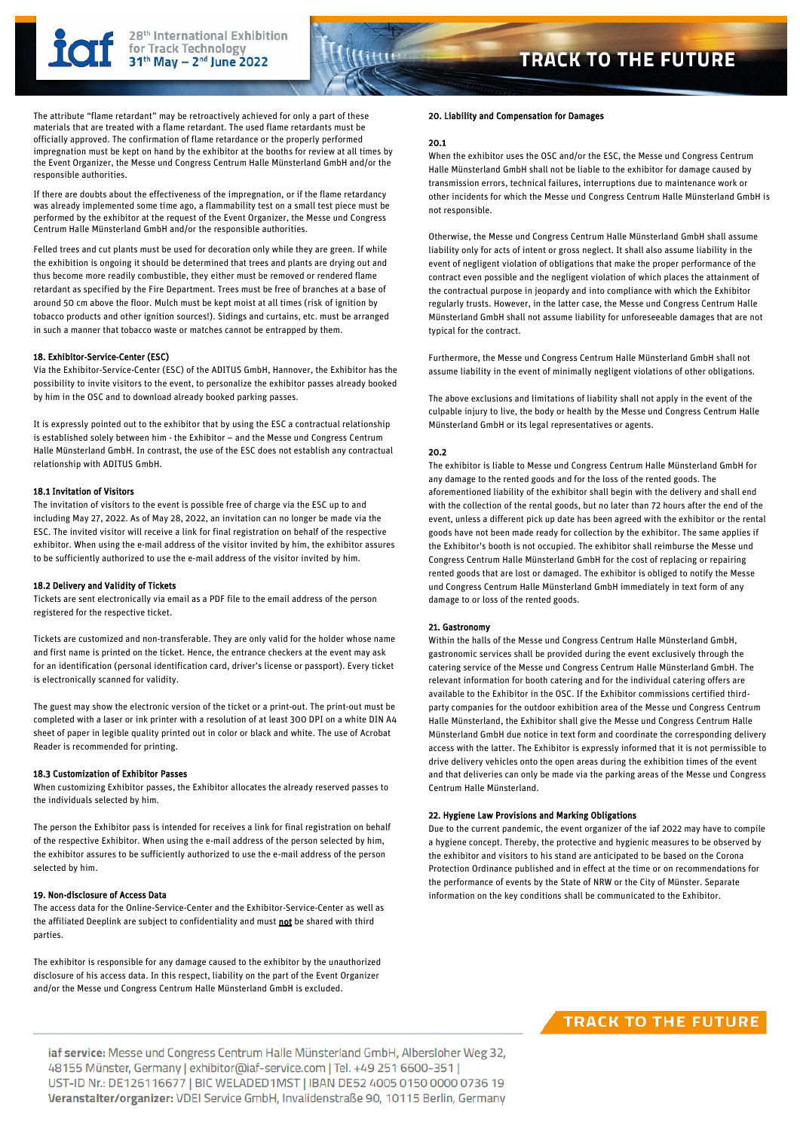The attribute "flame retardant" may be retroactively achieved for only a part of these materials that are treated with a flame retardant. The used flame retardants must be officially approved. The confirmation of flame retardance or the properly performed impregnation must be kept on hand by the exhibitor at the booths for review at all times by the Event Organizer, the Messe und Congress Centrum Halle Münsterland GmbH and/or the responsible authorities.

If there are doubts about the effectiveness of the impregnation, or if the flame retardancy was already implemented some time ago, a flammability test on a small test piece must be performed by the exhibitor at the request of the Event Organizer, the Messe und Congress Centrum Halle Münsterland GmbH and/or the responsible authorities.

Felled trees and cut plants must be used for decoration only while they are green. If while the exhibition is ongoing it should be determined that trees and plants are drying out and thus become more readily combustible, they either must be removed or rendered flame retardant as specified by the Fire Department. Trees must be free of branches at a base of around 50 cm above the floor. Mulch must be kept moist at all times (risk of ignition by tobacco products and other ignition sources!). Sidings and curtains, etc. must be arranged in such a manner that tobacco waste or matches cannot be entrapped by them.

## 18. Exhibitor-Service-Center (ESC)

Via the Exhibitor-Service-Center (ESC) of the ADITUS GmbH, Hannover, the Exhibitor has the possibility to invite visitors to the event, to personalize the exhibitor passes already booked by him in the OSC and to download already booked parking passes.

It is expressly pointed out to the exhibitor that by using the ESC a contractual relationship is established solely between him - the Exhibitor – and the Messe und Congress Centrum Halle Münsterland GmbH. In contrast, the use of the ESC does not establish any contractual relationship with ADITUS GmbH.

# 18.1 Invitation of Visitors

The invitation of visitors to the event is possible free of charge via the ESC up to and including May 27, 2022. As of May 28, 2022, an invitation can no longer be made via the ESC. The invited visitor will receive a link for final registration on behalf of the respective exhibitor. When using the e-mail address of the visitor invited by him, the exhibitor assures to be sufficiently authorized to use the e-mail address of the visitor invited by him.

#### 18.2 Delivery and Validity of Tickets

Tickets are sent electronically via email as a PDF file to the email address of the person registered for the respective ticket.

Tickets are customized and non-transferable. They are only valid for the holder whose name and first name is printed on the ticket. Hence, the entrance checkers at the event may ask for an identification (personal identification card, driver's license or passport). Every ticket is electronically scanned for validity.

The guest may show the electronic version of the ticket or a print-out. The print-out must be completed with a laser or ink printer with a resolution of at least 300 DPI on a white DIN A4 sheet of paper in legible quality printed out in color or black and white. The use of Acrobat Reader is recommended for printing.

# 18.3 Customization of Exhibitor Passes

When customizing Exhibitor passes, the Exhibitor allocates the already reserved passes to the individuals selected by him.

The person the Exhibitor pass is intended for receives a link for final registration on behalf of the respective Exhibitor. When using the e-mail address of the person selected by him, the exhibitor assures to be sufficiently authorized to use the e-mail address of the person selected by him.

#### 19. Non-disclosure of Access Data

The access data for the Online-Service-Center and the Exhibitor-Service-Center as well as the affiliated Deeplink are subject to confidentiality and must not be shared with third parties.

The exhibitor is responsible for any damage caused to the exhibitor by the unauthorized disclosure of his access data. In this respect, liability on the part of the Event Organizer and/or the Messe und Congress Centrum Halle Münsterland GmbH is excluded.

#### 20. Liability and Compensation for Damages

#### 20.1

When the exhibitor uses the OSC and/or the ESC, the Messe und Congress Centrum Halle Münsterland GmbH shall not be liable to the exhibitor for damage caused by transmission errors, technical failures, interruptions due to maintenance work or other incidents for which the Messe und Congress Centrum Halle Münsterland GmbH is not responsible.

Otherwise, the Messe und Congress Centrum Halle Münsterland GmbH shall assume liability only for acts of intent or gross neglect. It shall also assume liability in the event of negligent violation of obligations that make the proper performance of the contract even possible and the negligent violation of which places the attainment of the contractual purpose in jeopardy and into compliance with which the Exhibitor regularly trusts. However, in the latter case, the Messe und Congress Centrum Halle Münsterland GmbH shall not assume liability for unforeseeable damages that are not typical for the contract.

Furthermore, the Messe und Congress Centrum Halle Münsterland GmbH shall not assume liability in the event of minimally negligent violations of other obligations.

The above exclusions and limitations of liability shall not apply in the event of the culpable injury to live, the body or health by the Messe und Congress Centrum Halle Münsterland GmbH or its legal representatives or agents.

#### 20.2

The exhibitor is liable to Messe und Congress Centrum Halle Münsterland GmbH for any damage to the rented goods and for the loss of the rented goods. The aforementioned liability of the exhibitor shall begin with the delivery and shall end with the collection of the rental goods, but no later than 72 hours after the end of the event, unless a different pick up date has been agreed with the exhibitor or the rental goods have not been made ready for collection by the exhibitor. The same applies if the Exhibitor's booth is not occupied. The exhibitor shall reimburse the Messe und Congress Centrum Halle Münsterland GmbH for the cost of replacing or repairing rented goods that are lost or damaged. The exhibitor is obliged to notify the Messe und Congress Centrum Halle Münsterland GmbH immediately in text form of any damage to or loss of the rented goods.

#### 21. Gastronomy

Within the halls of the Messe und Congress Centrum Halle Münsterland GmbH, gastronomic services shall be provided during the event exclusively through the catering service of the Messe und Congress Centrum Halle Münsterland GmbH. The relevant information for booth catering and for the individual catering offers are available to the Exhibitor in the OSC. If the Exhibitor commissions certified thirdparty companies for the outdoor exhibition area of the Messe und Congress Centrum Halle Münsterland, the Exhibitor shall give the Messe und Congress Centrum Halle Münsterland GmbH due notice in text form and coordinate the corresponding delivery access with the latter. The Exhibitor is expressly informed that it is not permissible to drive delivery vehicles onto the open areas during the exhibition times of the event and that deliveries can only be made via the parking areas of the Messe und Congress Centrum Halle Münsterland.

# 22. Hygiene Law Provisions and Marking Obligations

Due to the current pandemic, the event organizer of the iaf 2022 may have to compile a hygiene concept. Thereby, the protective and hygienic measures to be observed by the exhibitor and visitors to his stand are anticipated to be based on the Corona Protection Ordinance published and in effect at the time or on recommendations for the performance of events by the State of NRW or the City of Münster. Separate information on the key conditions shall be communicated to the Exhibitor.

# **TRACK TO THE FUTURE**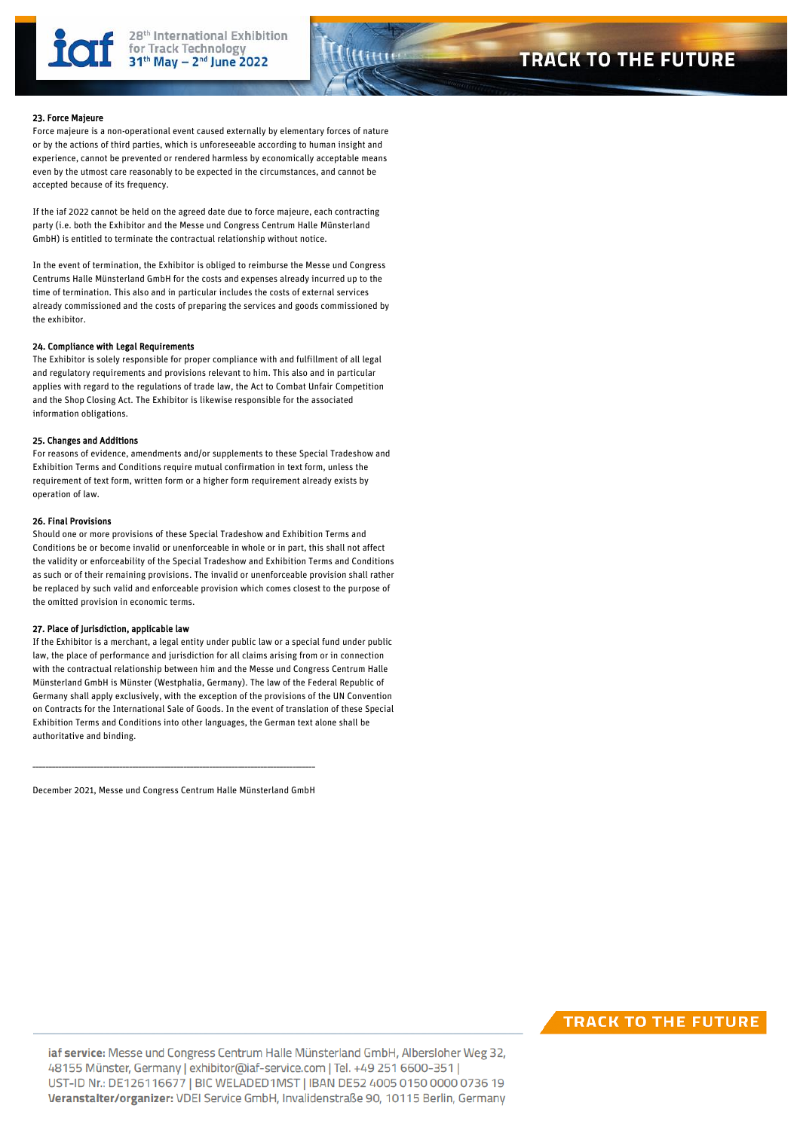

# 23. Force Majeure

Force majeure is a non-operational event caused externally by elementary forces of nature or by the actions of third parties, which is unforeseeable according to human insight and experience, cannot be prevented or rendered harmless by economically acceptable means even by the utmost care reasonably to be expected in the circumstances, and cannot be accepted because of its frequency.

If the iaf 2022 cannot be held on the agreed date due to force majeure, each contracting party (i.e. both the Exhibitor and the Messe und Congress Centrum Halle Münsterland GmbH) is entitled to terminate the contractual relationship without notice.

In the event of termination, the Exhibitor is obliged to reimburse the Messe und Congress Centrums Halle Münsterland GmbH for the costs and expenses already incurred up to the time of termination. This also and in particular includes the costs of external services already commissioned and the costs of preparing the services and goods commissioned by the exhibitor.

# 24. Compliance with Legal Requirements

The Exhibitor is solely responsible for proper compliance with and fulfillment of all legal and regulatory requirements and provisions relevant to him. This also and in particular applies with regard to the regulations of trade law, the Act to Combat Unfair Competition and the Shop Closing Act. The Exhibitor is likewise responsible for the associated information obligations.

## 25. Changes and Additions

For reasons of evidence, amendments and/or supplements to these Special Tradeshow and Exhibition Terms and Conditions require mutual confirmation in text form, unless the requirement of text form, written form or a higher form requirement already exists by operation of law.

# 26. Final Provisions

Should one or more provisions of these Special Tradeshow and Exhibition Terms and Conditions be or become invalid or unenforceable in whole or in part, this shall not affect the validity or enforceability of the Special Tradeshow and Exhibition Terms and Conditions as such or of their remaining provisions. The invalid or unenforceable provision shall rather be replaced by such valid and enforceable provision which comes closest to the purpose of the omitted provision in economic terms.

## 27. Place of Jurisdiction, applicable law

If the Exhibitor is a merchant, a legal entity under public law or a special fund under public law, the place of performance and jurisdiction for all claims arising from or in connection with the contractual relationship between him and the Messe und Congress Centrum Halle Münsterland GmbH is Münster (Westphalia, Germany). The law of the Federal Republic of Germany shall apply exclusively, with the exception of the provisions of the UN Convention on Contracts for the International Sale of Goods. In the event of translation of these Special Exhibition Terms and Conditions into other languages, the German text alone shall be authoritative and binding.

\_\_\_\_\_\_\_\_\_\_\_\_\_\_\_\_\_\_\_\_\_\_\_\_\_\_\_\_\_\_\_\_\_\_\_\_\_\_\_\_\_\_\_\_\_\_\_\_\_\_\_\_\_\_\_\_\_\_\_\_\_\_\_\_\_\_\_\_\_\_\_\_\_\_\_\_\_\_\_\_\_\_\_\_\_\_\_\_ December 2021, Messe und Congress Centrum Halle Münsterland GmbH

**TRACK TO THE FUTURE**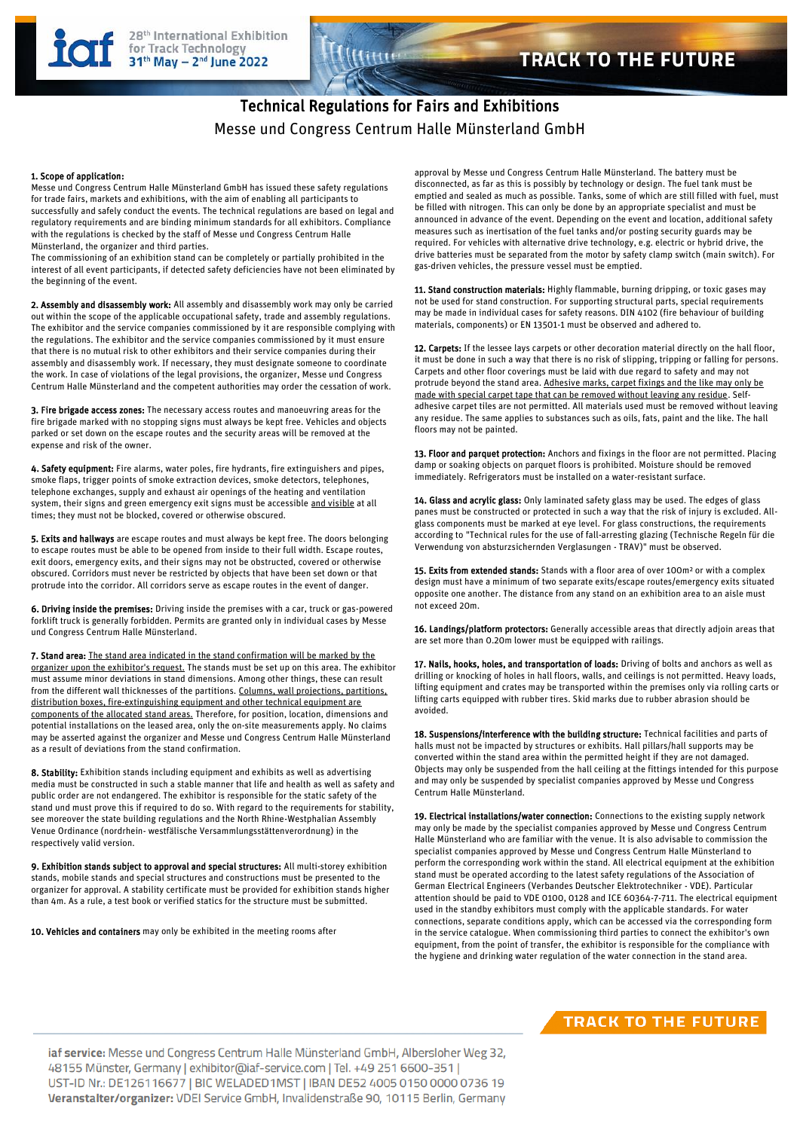# Technical Regulations for Fairs and Exhibitions Messe und Congress Centrum Halle Münsterland GmbH

# 1. Scope of application:

Messe und Congress Centrum Halle Münsterland GmbH has issued these safety regulations for trade fairs, markets and exhibitions, with the aim of enabling all participants to successfully and safely conduct the events. The technical regulations are based on legal and regulatory requirements and are binding minimum standards for all exhibitors. Compliance with the regulations is checked by the staff of Messe und Congress Centrum Halle Münsterland, the organizer and third parties.

The commissioning of an exhibition stand can be completely or partially prohibited in the interest of all event participants, if detected safety deficiencies have not been eliminated by the beginning of the event.

2. Assembly and disassembly work: All assembly and disassembly work may only be carried out within the scope of the applicable occupational safety, trade and assembly regulations. The exhibitor and the service companies commissioned by it are responsible complying with the regulations. The exhibitor and the service companies commissioned by it must ensure that there is no mutual risk to other exhibitors and their service companies during their assembly and disassembly work. If necessary, they must designate someone to coordinate the work. In case of violations of the legal provisions, the organizer, Messe und Congress Centrum Halle Münsterland and the competent authorities may order the cessation of work.

3. Fire brigade access zones: The necessary access routes and manoeuvring areas for the fire brigade marked with no stopping signs must always be kept free. Vehicles and objects parked or set down on the escape routes and the security areas will be removed at the expense and risk of the owner.

4. Safety equipment: Fire alarms, water poles, fire hydrants, fire extinguishers and pipes, smoke flaps, trigger points of smoke extraction devices, smoke detectors, telephones, telephone exchanges, supply and exhaust air openings of the heating and ventilation system, their signs and green emergency exit signs must be accessible and visible at all times; they must not be blocked, covered or otherwise obscured.

5. Exits and hallways are escape routes and must always be kept free. The doors belonging to escape routes must be able to be opened from inside to their full width. Escape routes, exit doors, emergency exits, and their signs may not be obstructed, covered or otherwise obscured. Corridors must never be restricted by objects that have been set down or that protrude into the corridor. All corridors serve as escape routes in the event of danger.

6. Driving inside the premises: Driving inside the premises with a car, truck or gas-powered forklift truck is generally forbidden. Permits are granted only in individual cases by Messe und Congress Centrum Halle Münsterland.

7. Stand area: The stand area indicated in the stand confirmation will be marked by the organizer upon the exhibitor's request. The stands must be set up on this area. The exhibitor must assume minor deviations in stand dimensions. Among other things, these can result from the different wall thicknesses of the partitions. Columns, wall projections, partitions, distribution boxes, fire-extinguishing equipment and other technical equipment are components of the allocated stand areas. Therefore, for position, location, dimensions and potential installations on the leased area, only the on-site measurements apply. No claims may be asserted against the organizer and Messe und Congress Centrum Halle Münsterland as a result of deviations from the stand confirmation.

8. Stability: Exhibition stands including equipment and exhibits as well as advertising media must be constructed in such a stable manner that life and health as well as safety and public order are not endangered. The exhibitor is responsible for the static safety of the stand und must prove this if required to do so. With regard to the requirements for stability, see moreover the state building regulations and the North Rhine-Westphalian Assembly Venue Ordinance (nordrhein- westfälische Versammlungsstättenverordnung) in the respectively valid version.

9. Exhibition stands subject to approval and special structures: All multi-storey exhibition stands, mobile stands and special structures and constructions must be presented to the organizer for approval. A stability certificate must be provided for exhibition stands higher than 4m. As a rule, a test book or verified statics for the structure must be submitted.

10. Vehicles and containers may only be exhibited in the meeting rooms after

approval by Messe und Congress Centrum Halle Münsterland. The battery must be disconnected, as far as this is possibly by technology or design. The fuel tank must be emptied and sealed as much as possible. Tanks, some of which are still filled with fuel, must be filled with nitrogen. This can only be done by an appropriate specialist and must be announced in advance of the event. Depending on the event and location, additional safety measures such as inertisation of the fuel tanks and/or posting security guards may be required. For vehicles with alternative drive technology, e.g. electric or hybrid drive, the drive batteries must be separated from the motor by safety clamp switch (main switch). For gas-driven vehicles, the pressure vessel must be emptied.

11. Stand construction materials: Highly flammable, burning dripping, or toxic gases may not be used for stand construction. For supporting structural parts, special requirements may be made in individual cases for safety reasons. DIN 4102 (fire behaviour of building materials, components) or EN 13501-1 must be observed and adhered to.

12. Carpets: If the lessee lays carpets or other decoration material directly on the hall floor, it must be done in such a way that there is no risk of slipping, tripping or falling for persons. Carpets and other floor coverings must be laid with due regard to safety and may not protrude beyond the stand area. Adhesive marks, carpet fixings and the like may only be made with special carpet tape that can be removed without leaving any residue. Selfadhesive carpet tiles are not permitted. All materials used must be removed without leaving any residue. The same applies to substances such as oils, fats, paint and the like. The hall floors may not be painted.

13. Floor and parquet protection: Anchors and fixings in the floor are not permitted. Placing damp or soaking objects on parquet floors is prohibited. Moisture should be removed immediately. Refrigerators must be installed on a water-resistant surface.

14. Glass and acrylic glass: Only laminated safety glass may be used. The edges of glass panes must be constructed or protected in such a way that the risk of injury is excluded. Allglass components must be marked at eye level. For glass constructions, the requirements according to "Technical rules for the use of fall-arresting glazing (Technische Regeln für die Verwendung von absturzsichernden Verglasungen - TRAV)" must be observed.

15. Exits from extended stands: Stands with a floor area of over 100m<sup>2</sup> or with a complex design must have a minimum of two separate exits/escape routes/emergency exits situated opposite one another. The distance from any stand on an exhibition area to an aisle must not exceed 20m.

16. Landings/platform protectors: Generally accessible areas that directly adjoin areas that are set more than 0.20m lower must be equipped with railings.

17. Nails, hooks, holes, and transportation of loads: Driving of bolts and anchors as well as drilling or knocking of holes in hall floors, walls, and ceilings is not permitted. Heavy loads, lifting equipment and crates may be transported within the premises only via rolling carts or lifting carts equipped with rubber tires. Skid marks due to rubber abrasion should be avoided.

18. Suspensions/interference with the building structure: Technical facilities and parts of halls must not be impacted by structures or exhibits. Hall pillars/hall supports may be converted within the stand area within the permitted height if they are not damaged. Objects may only be suspended from the hall ceiling at the fittings intended for this purpose and may only be suspended by specialist companies approved by Messe und Congress Centrum Halle Münsterland.

19. Electrical installations/water connection: Connections to the existing supply network may only be made by the specialist companies approved by Messe und Congress Centrum Halle Münsterland who are familiar with the venue. It is also advisable to commission the specialist companies approved by Messe und Congress Centrum Halle Münsterland to perform the corresponding work within the stand. All electrical equipment at the exhibition stand must be operated according to the latest safety regulations of the Association of German Electrical Engineers (Verbandes Deutscher Elektrotechniker - VDE). Particular attention should be paid to VDE 0100, 0128 and ICE 60364-7-711. The electrical equipment used in the standby exhibitors must comply with the applicable standards. For water connections, separate conditions apply, which can be accessed via the corresponding form in the service catalogue. When commissioning third parties to connect the exhibitor's own equipment, from the point of transfer, the exhibitor is responsible for the compliance with the hygiene and drinking water regulation of the water connection in the stand area.

# **TRACK TO THE FUTURE**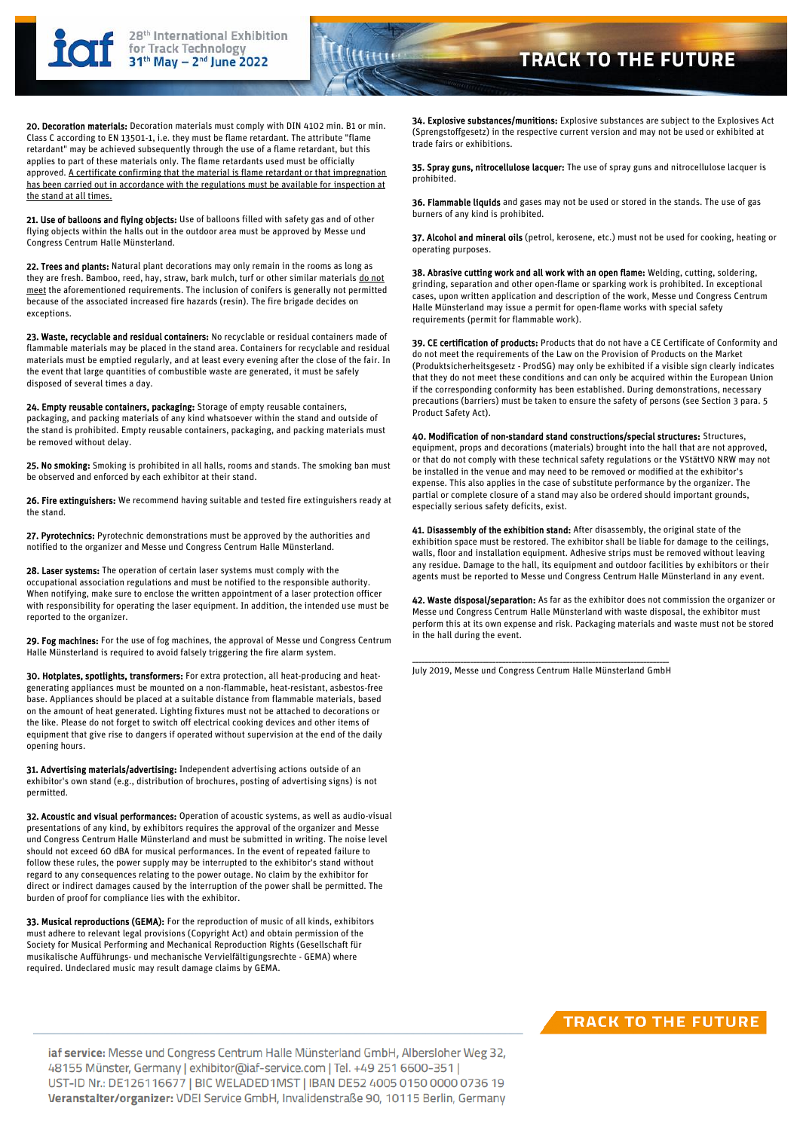20. Decoration materials: Decoration materials must comply with DIN 4102 min. B1 or min. Class C according to EN 13501-1, i.e. they must be flame retardant. The attribute "flame retardant" may be achieved subsequently through the use of a flame retardant, but this applies to part of these materials only. The flame retardants used must be officially approved. A certificate confirming that the material is flame retardant or that impregnation has been carried out in accordance with the regulations must be available for inspection at the stand at all times.

21. Use of balloons and flying objects: Use of balloons filled with safety gas and of other flying objects within the halls out in the outdoor area must be approved by Messe und Congress Centrum Halle Münsterland.

22. Trees and plants: Natural plant decorations may only remain in the rooms as long as they are fresh. Bamboo, reed, hay, straw, bark mulch, turf or other similar materials do not meet the aforementioned requirements. The inclusion of conifers is generally not permitted because of the associated increased fire hazards (resin). The fire brigade decides on exceptions.

23. Waste, recyclable and residual containers: No recyclable or residual containers made of flammable materials may be placed in the stand area. Containers for recyclable and residual materials must be emptied regularly, and at least every evening after the close of the fair. In the event that large quantities of combustible waste are generated, it must be safely disposed of several times a day.

24. Empty reusable containers, packaging: Storage of empty reusable containers, packaging, and packing materials of any kind whatsoever within the stand and outside of the stand is prohibited. Empty reusable containers, packaging, and packing materials must be removed without delay.

25. No smoking: Smoking is prohibited in all halls, rooms and stands. The smoking ban must be observed and enforced by each exhibitor at their stand.

26. Fire extinguishers: We recommend having suitable and tested fire extinguishers ready at the stand.

27. Pyrotechnics: Pyrotechnic demonstrations must be approved by the authorities and notified to the organizer and Messe und Congress Centrum Halle Münsterland.

28. Laser systems: The operation of certain laser systems must comply with the occupational association regulations and must be notified to the responsible authority. When notifying, make sure to enclose the written appointment of a laser protection officer with responsibility for operating the laser equipment. In addition, the intended use must be reported to the organizer.

29. Fog machines: For the use of fog machines, the approval of Messe und Congress Centrum Halle Münsterland is required to avoid falsely triggering the fire alarm system.

30. Hotplates, spotlights, transformers: For extra protection, all heat-producing and heatgenerating appliances must be mounted on a non-flammable, heat-resistant, asbestos-free base. Appliances should be placed at a suitable distance from flammable materials, based on the amount of heat generated. Lighting fixtures must not be attached to decorations or the like. Please do not forget to switch off electrical cooking devices and other items of equipment that give rise to dangers if operated without supervision at the end of the daily opening hours.

31. Advertising materials/advertising: Independent advertising actions outside of an exhibitor's own stand (e.g., distribution of brochures, posting of advertising signs) is not permitted.

32. Acoustic and visual performances: Operation of acoustic systems, as well as audio-visual presentations of any kind, by exhibitors requires the approval of the organizer and Messe und Congress Centrum Halle Münsterland and must be submitted in writing. The noise level should not exceed 60 dBA for musical performances. In the event of repeated failure to follow these rules, the power supply may be interrupted to the exhibitor's stand without regard to any consequences relating to the power outage. No claim by the exhibitor for direct or indirect damages caused by the interruption of the power shall be permitted. The burden of proof for compliance lies with the exhibitor.

33. Musical reproductions (GEMA): For the reproduction of music of all kinds, exhibitors must adhere to relevant legal provisions (Copyright Act) and obtain permission of the Society for Musical Performing and Mechanical Reproduction Rights (Gesellschaft für musikalische Aufführungs- und mechanische Vervielfältigungsrechte - GEMA) where required. Undeclared music may result damage claims by GEMA.

34. Explosive substances/munitions: Explosive substances are subject to the Explosives Act (Sprengstoffgesetz) in the respective current version and may not be used or exhibited at trade fairs or exhibitions.

35. Spray guns, nitrocellulose lacquer: The use of spray guns and nitrocellulose lacquer is prohibited.

36. Flammable liquids and gases may not be used or stored in the stands. The use of gas burners of any kind is prohibited.

37. Alcohol and mineral oils (petrol, kerosene, etc.) must not be used for cooking, heating or operating purposes.

38. Abrasive cutting work and all work with an open flame: Welding, cutting, soldering, grinding, separation and other open-flame or sparking work is prohibited. In exceptional cases, upon written application and description of the work, Messe und Congress Centrum Halle Münsterland may issue a permit for open-flame works with special safety requirements (permit for flammable work).

39. CE certification of products: Products that do not have a CE Certificate of Conformity and do not meet the requirements of the Law on the Provision of Products on the Market (Produktsicherheitsgesetz - ProdSG) may only be exhibited if a visible sign clearly indicates that they do not meet these conditions and can only be acquired within the European Union if the corresponding conformity has been established. During demonstrations, necessary precautions (barriers) must be taken to ensure the safety of persons (see Section 3 para. 5 Product Safety Act).

40. Modification of non-standard stand constructions/special structures: Structures, equipment, props and decorations (materials) brought into the hall that are not approved, or that do not comply with these technical safety regulations or the VStättVO NRW may not be installed in the venue and may need to be removed or modified at the exhibitor's expense. This also applies in the case of substitute performance by the organizer. The partial or complete closure of a stand may also be ordered should important grounds, especially serious safety deficits, exist.

41. Disassembly of the exhibition stand: After disassembly, the original state of the exhibition space must be restored. The exhibitor shall be liable for damage to the ceilings, walls, floor and installation equipment. Adhesive strips must be removed without leaving any residue. Damage to the hall, its equipment and outdoor facilities by exhibitors or their agents must be reported to Messe und Congress Centrum Halle Münsterland in any event.

42. Waste disposal/separation: As far as the exhibitor does not commission the organizer or Messe und Congress Centrum Halle Münsterland with waste disposal, the exhibitor must perform this at its own expense and risk. Packaging materials and waste must not be stored in the hall during the event.

\_\_\_\_\_\_\_\_\_\_\_\_\_\_\_\_\_\_\_\_\_\_\_\_\_\_\_\_\_\_\_\_\_\_\_\_\_\_\_\_\_\_\_\_\_\_\_\_\_\_\_\_\_\_\_\_\_\_\_\_\_\_\_\_\_\_\_\_\_\_\_\_\_\_\_\_\_\_\_\_ July 2019, Messe und Congress Centrum Halle Münsterland GmbH

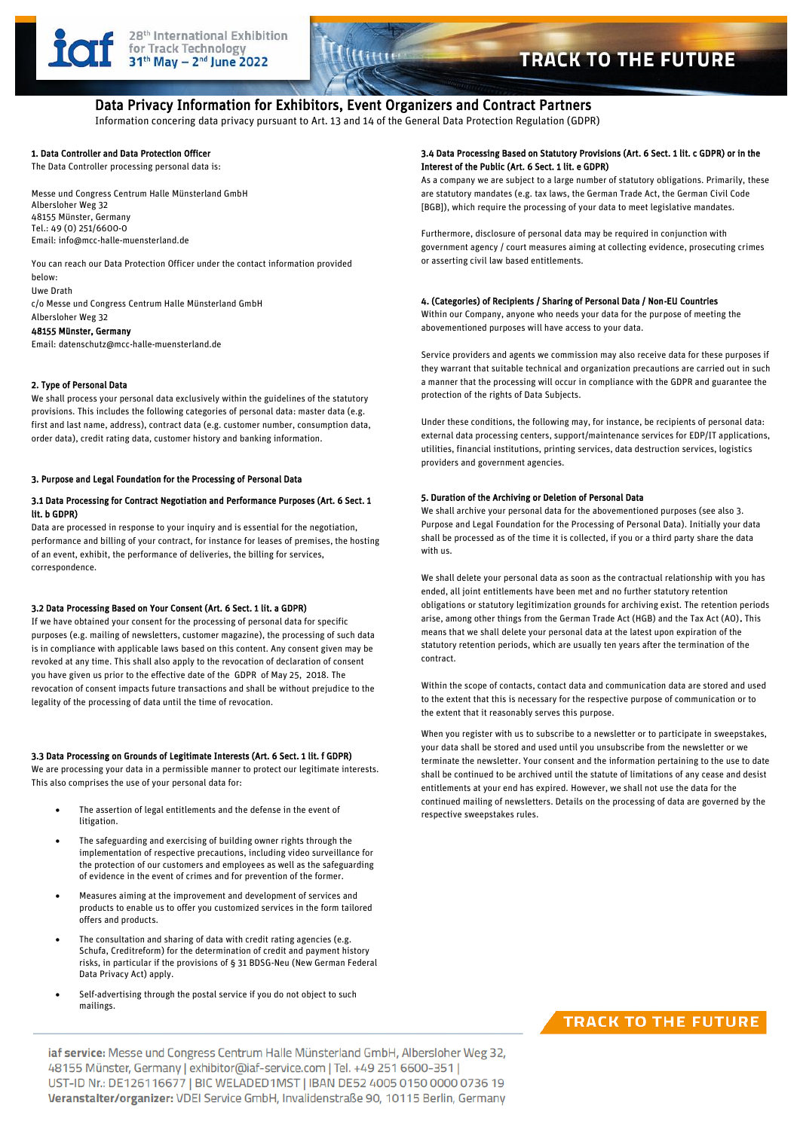

# **TRACK TO THE FUTURE**

# Data Privacy Information for Exhibitors, Event Organizers and Contract Partners

Information concering data privacy pursuant to Art. 13 and 14 of the General Data Protection Regulation (GDPR)

# 1. Data Controller and Data Protection Officer

The Data Controller processing personal data is:

Messe und Congress Centrum Halle Münsterland GmbH Albersloher Weg 32 48155 Münster, Germany Tel.: 49 (0) 251/6600-0 Email: info@mcc-halle-muensterland.de

You can reach our Data Protection Officer under the contact information provided below: Uwe Drath c/o Messe und Congress Centrum Halle Münsterland GmbH Albersloher Weg 32 48155 Münster, Germany Email: datenschutz@mcc-halle-muensterland.de

## 2. Type of Personal Data

We shall process your personal data exclusively within the guidelines of the statutory provisions. This includes the following categories of personal data: master data (e.g. first and last name, address), contract data (e.g. customer number, consumption data, order data), credit rating data, customer history and banking information.

#### 3. Purpose and Legal Foundation for the Processing of Personal Data

# 3.1 Data Processing for Contract Negotiation and Performance Purposes (Art. 6 Sect. 1 lit. b GDPR)

Data are processed in response to your inquiry and is essential for the negotiation, performance and billing of your contract, for instance for leases of premises, the hosting of an event, exhibit, the performance of deliveries, the billing for services, correspondence.

#### 3.2 Data Processing Based on Your Consent (Art. 6 Sect. 1 lit. a GDPR)

If we have obtained your consent for the processing of personal data for specific purposes (e.g. mailing of newsletters, customer magazine), the processing of such data is in compliance with applicable laws based on this content. Any consent given may be revoked at any time. This shall also apply to the revocation of declaration of consent you have given us prior to the effective date of the GDPR of May 25, 2018. The revocation of consent impacts future transactions and shall be without prejudice to the legality of the processing of data until the time of revocation.

# 3.3 Data Processing on Grounds of Legitimate Interests (Art. 6 Sect. 1 lit. f GDPR)

We are processing your data in a permissible manner to protect our legitimate interests. This also comprises the use of your personal data for:

- The assertion of legal entitlements and the defense in the event of litigation.
- The safeguarding and exercising of building owner rights through the implementation of respective precautions, including video surveillance for the protection of our customers and employees as well as the safeguarding of evidence in the event of crimes and for prevention of the former.
- Measures aiming at the improvement and development of services and products to enable us to offer you customized services in the form tailored offers and products.
- The consultation and sharing of data with credit rating agencies (e.g. Schufa, Creditreform) for the determination of credit and payment history risks, in particular if the provisions of § 31 BDSG-Neu (New German Federal Data Privacy Act) apply.
- Self-advertising through the postal service if you do not object to such mailings.

# 3.4 Data Processing Based on Statutory Provisions (Art. 6 Sect. 1 lit. c GDPR) or in the Interest of the Public (Art. 6 Sect. 1 lit. e GDPR)

As a company we are subject to a large number of statutory obligations. Primarily, these are statutory mandates (e.g. tax laws, the German Trade Act, the German Civil Code [BGB]), which require the processing of your data to meet legislative mandates.

Furthermore, disclosure of personal data may be required in conjunction with government agency / court measures aiming at collecting evidence, prosecuting crimes or asserting civil law based entitlements.

# 4. (Categories) of Recipients / Sharing of Personal Data / Non-EU Countries

Within our Company, anyone who needs your data for the purpose of meeting the abovementioned purposes will have access to your data.

Service providers and agents we commission may also receive data for these purposes if they warrant that suitable technical and organization precautions are carried out in such a manner that the processing will occur in compliance with the GDPR and guarantee the protection of the rights of Data Subjects.

Under these conditions, the following may, for instance, be recipients of personal data: external data processing centers, support/maintenance services for EDP/IT applications, utilities, financial institutions, printing services, data destruction services, logistics providers and government agencies.

## 5. Duration of the Archiving or Deletion of Personal Data

We shall archive your personal data for the abovementioned purposes (see also 3. Purpose and Legal Foundation for the Processing of Personal Data). Initially your data shall be processed as of the time it is collected, if you or a third party share the data with us.

We shall delete your personal data as soon as the contractual relationship with you has ended, all joint entitlements have been met and no further statutory retention obligations or statutory legitimization grounds for archiving exist. The retention periods arise, among other things from the German Trade Act (HGB) and the Tax Act (AO). This means that we shall delete your personal data at the latest upon expiration of the statutory retention periods, which are usually ten years after the termination of the contract.

Within the scope of contacts, contact data and communication data are stored and used to the extent that this is necessary for the respective purpose of communication or to the extent that it reasonably serves this purpose.

When you register with us to subscribe to a newsletter or to participate in sweepstakes, your data shall be stored and used until you unsubscribe from the newsletter or we terminate the newsletter. Your consent and the information pertaining to the use to date shall be continued to be archived until the statute of limitations of any cease and desist entitlements at your end has expired. However, we shall not use the data for the continued mailing of newsletters. Details on the processing of data are governed by the respective sweepstakes rules.

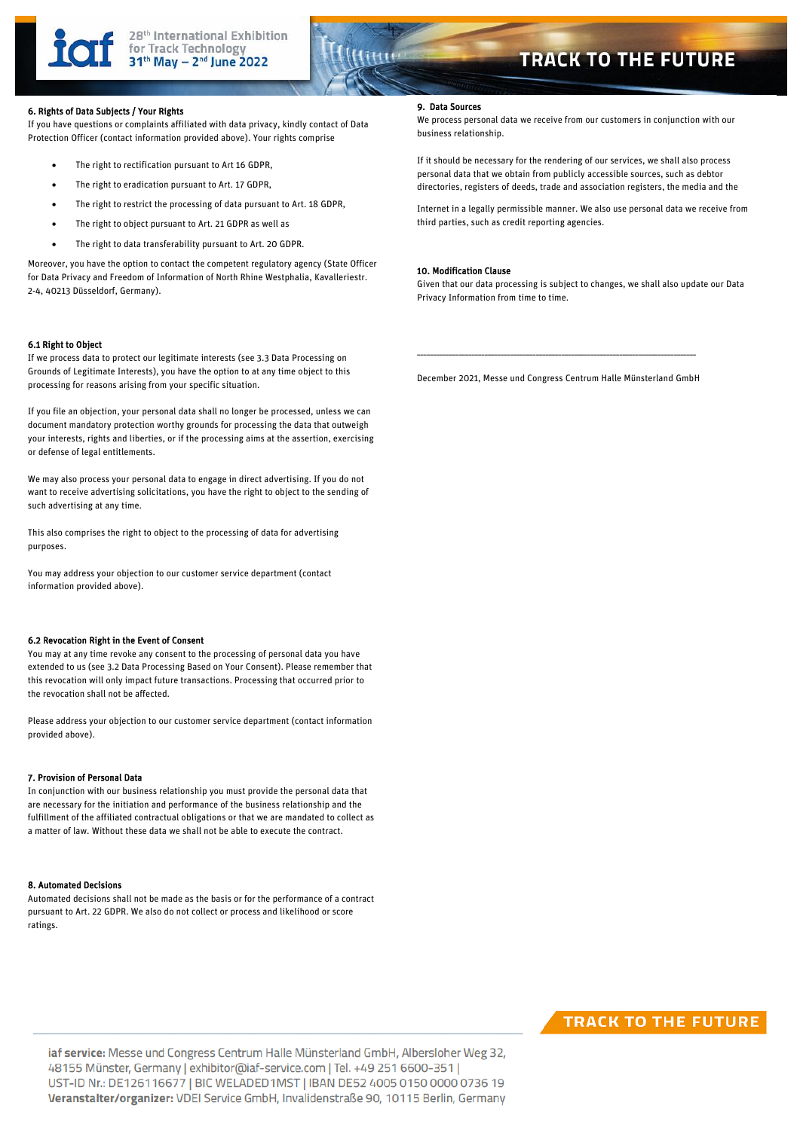

#### 6. Rights of Data Subjects / Your Rights

If you have questions or complaints affiliated with data privacy, kindly contact of Data Protection Officer (contact information provided above). Your rights comprise

- The right to rectification pursuant to Art 16 GDPR,
- The right to eradication pursuant to Art. 17 GDPR,
- The right to restrict the processing of data pursuant to Art. 18 GDPR.
- The right to object pursuant to Art. 21 GDPR as well as
- The right to data transferability pursuant to Art. 20 GDPR.

Moreover, you have the option to contact the competent regulatory agency (State Officer for Data Privacy and Freedom of Information of North Rhine Westphalia, Kavalleriestr. 2-4, 40213 Düsseldorf, Germany).

#### 6.1 Right to Object

If we process data to protect our legitimate interests (see 3.3 Data Processing on Grounds of Legitimate Interests), you have the option to at any time object to this processing for reasons arising from your specific situation.

If you file an objection, your personal data shall no longer be processed, unless we can document mandatory protection worthy grounds for processing the data that outweigh your interests, rights and liberties, or if the processing aims at the assertion, exercising or defense of legal entitlements.

We may also process your personal data to engage in direct advertising. If you do not want to receive advertising solicitations, you have the right to object to the sending of such advertising at any time.

This also comprises the right to object to the processing of data for advertising purposes.

You may address your objection to our customer service department (contact information provided above).

#### 6.2 Revocation Right in the Event of Consent

You may at any time revoke any consent to the processing of personal data you have extended to us (see 3.2 Data Processing Based on Your Consent). Please remember that this revocation will only impact future transactions. Processing that occurred prior to the revocation shall not be affected.

Please address your objection to our customer service department (contact information provided above).

#### 7. Provision of Personal Data

In conjunction with our business relationship you must provide the personal data that are necessary for the initiation and performance of the business relationship and the fulfillment of the affiliated contractual obligations or that we are mandated to collect as a matter of law. Without these data we shall not be able to execute the contract.

# 8. Automated Decisions

Automated decisions shall not be made as the basis or for the performance of a contract pursuant to Art. 22 GDPR. We also do not collect or process and likelihood or score ratings.

# 9. Data Sources

We process personal data we receive from our customers in conjunction with our business relationship.

If it should be necessary for the rendering of our services, we shall also process personal data that we obtain from publicly accessible sources, such as debtor directories, registers of deeds, trade and association registers, the media and the

Internet in a legally permissible manner. We also use personal data we receive from third parties, such as credit reporting agencies.

# 10. Modification Clause

Given that our data processing is subject to changes, we shall also update our Data Privacy Information from time to time.

\_\_\_\_\_\_\_\_\_\_\_\_\_\_\_\_\_\_\_\_\_\_\_\_\_\_\_\_\_\_\_\_\_\_\_\_\_\_\_\_\_\_\_\_\_\_\_\_\_\_\_\_\_\_\_\_\_\_\_\_\_\_\_\_\_\_\_\_\_\_\_\_\_\_\_\_\_\_\_\_\_\_\_\_\_\_\_ December 2021, Messe und Congress Centrum Halle Münsterland GmbH

# **TRACK TO THE FUTURE**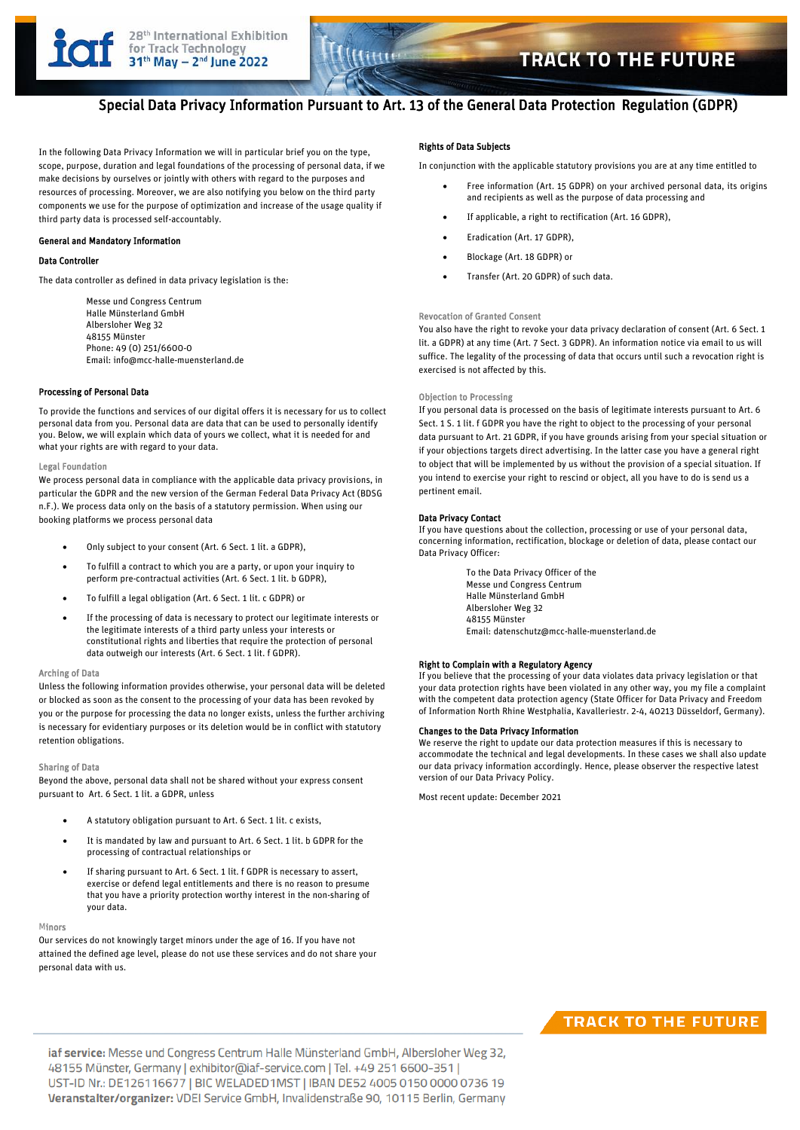# Special Data Privacy Information Pursuant to Art. 13 of the General Data Protection Regulation (GDPR)

In the following Data Privacy Information we will in particular brief you on the type, scope, purpose, duration and legal foundations of the processing of personal data, if we make decisions by ourselves or jointly with others with regard to the purposes and resources of processing. Moreover, we are also notifying you below on the third party components we use for the purpose of optimization and increase of the usage quality if third party data is processed self-accountably.

# General and Mandatory Information

# Data Controller

The data controller as defined in data privacy legislation is the:

Messe und Congress Centrum Halle Münsterland GmbH Albersloher Weg 32 48155 Münster Phone: 49 (0) 251/6600-0 Email: [info@mcc-halle-muensterland.de](javascript:linkTo_UnCryptMailto()

# Processing of Personal Data

To provide the functions and services of our digital offers it is necessary for us to collect personal data from you. Personal data are data that can be used to personally identify you. Below, we will explain which data of yours we collect, what it is needed for and what your rights are with regard to your data.

## Legal Foundation

We process personal data in compliance with the applicable data privacy provisions, in particular the GDPR and the new version of the German Federal Data Privacy Act (BDSG n.F.). We process data only on the basis of a statutory permission. When using our booking platforms we process personal data

- Only subject to your consent (Art. 6 Sect. 1 lit. a GDPR),
- To fulfill a contract to which you are a party, or upon your inquiry to perform pre-contractual activities (Art. 6 Sect. 1 lit. b GDPR),
- To fulfill a legal obligation (Art. 6 Sect. 1 lit. c GDPR) or
- If the processing of data is necessary to protect our legitimate interests or the legitimate interests of a third party unless your interests or constitutional rights and liberties that require the protection of personal data outweigh our interests (Art. 6 Sect. 1 lit. f GDPR).

#### Arching of Data

Unless the following information provides otherwise, your personal data will be deleted or blocked as soon as the consent to the processing of your data has been revoked by you or the purpose for processing the data no longer exists, unless the further archiving is necessary for evidentiary purposes or its deletion would be in conflict with statutory retention obligations.

#### Sharing of Data

Beyond the above, personal data shall not be shared without your express consent pursuant to Art. 6 Sect. 1 lit. a GDPR, unless

- A statutory obligation pursuant to Art. 6 Sect. 1 lit. c exists,
- It is mandated by law and pursuant to Art. 6 Sect. 1 lit. b GDPR for the processing of contractual relationships or
- If sharing pursuant to Art. 6 Sect. 1 lit. f GDPR is necessary to assert, exercise or defend legal entitlements and there is no reason to presume that you have a priority protection worthy interest in the non-sharing of your data.

#### Minors

Our services do not knowingly target minors under the age of 16. If you have not attained the defined age level, please do not use these services and do not share your personal data with us.

## Rights of Data Subjects

In conjunction with the applicable statutory provisions you are at any time entitled to

- Free information (Art. 15 GDPR) on your archived personal data, its origins and recipients as well as the purpose of data processing and
- If applicable, a right to rectification (Art. 16 GDPR),
- Eradication (Art. 17 GDPR),
- Blockage (Art. 18 GDPR) or
- Transfer (Art. 20 GDPR) of such data.

## Revocation of Granted Consent

You also have the right to revoke your data privacy declaration of consent (Art. 6 Sect. 1 lit. a GDPR) at any time (Art. 7 Sect. 3 GDPR). An information notice via email to us will suffice. The legality of the processing of data that occurs until such a revocation right is exercised is not affected by this.

# Objection to Processing

If you personal data is processed on the basis of legitimate interests pursuant to Art. 6 Sect. 1 S. 1 lit. f GDPR you have the right to object to the processing of your personal data pursuant to Art. 21 GDPR, if you have grounds arising from your special situation or if your objections targets direct advertising. In the latter case you have a general right to object that will be implemented by us without the provision of a special situation. If you intend to exercise your right to rescind or object, all you have to do is send us a pertinent email.

# Data Privacy Contact

If you have questions about the collection, processing or use of your personal data, concerning information, rectification, blockage or deletion of data, please contact our Data Privacy Officer:

> To the Data Privacy Officer of the Messe und Congress Centrum Halle Münsterland GmbH Albersloher Weg 32 48155 Münster Email: [datenschutz@mcc-halle-muensterland.de](javascript:linkTo_UnCryptMailto()

# Right to Complain with a Regulatory Agency

If you believe that the processing of your data violates data privacy legislation or that your data protection rights have been violated in any other way, you my file a complaint with the competent data protection agency (State Officer for Data Privacy and Freedom of Information North Rhine Westphalia, Kavalleriestr. 2-4, 40213 Düsseldorf, Germany).

# Changes to the Data Privacy Information

We reserve the right to update our data protection measures if this is necessary to accommodate the technical and legal developments. In these cases we shall also update our data privacy information accordingly. Hence, please observer the respective latest version of our Data Privacy Policy.

Most recent update: December 2021

# **TRACK TO THE FUTURE**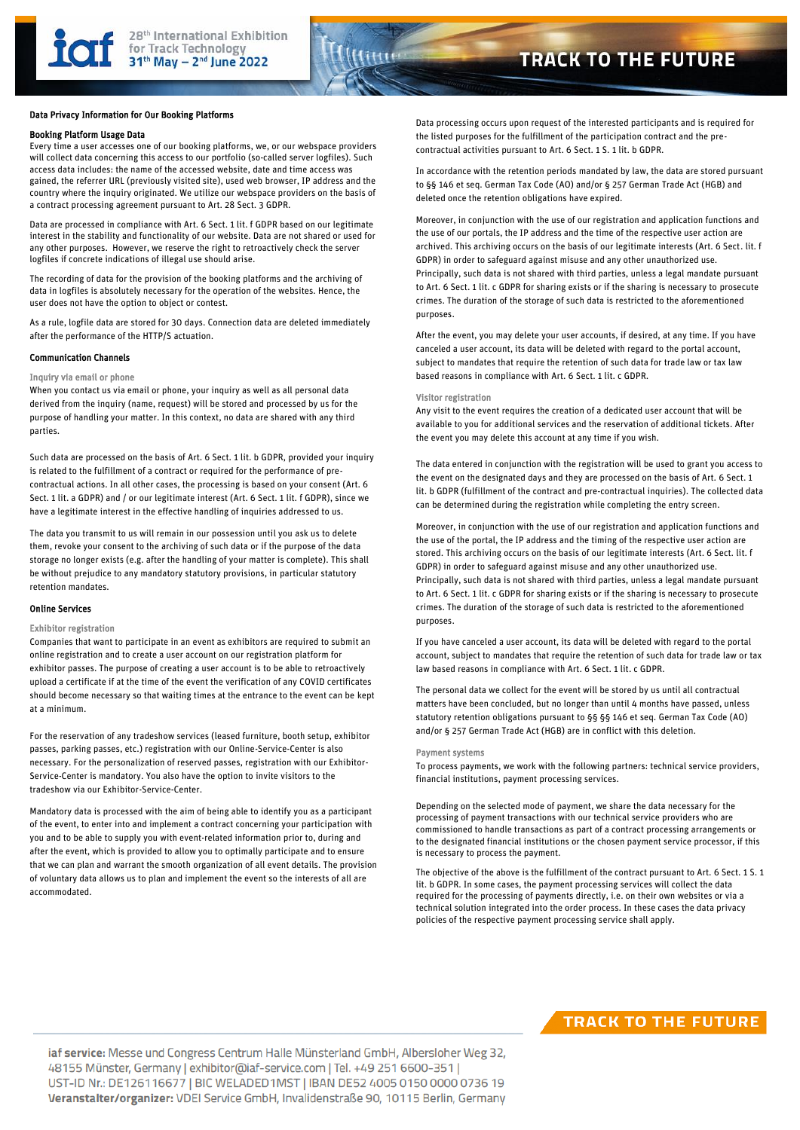#### Data Privacy Information for Our Booking Platforms

#### Booking Platform Usage Data

Every time a user accesses one of our booking platforms, we, or our webspace providers will collect data concerning this access to our portfolio (so-called server logfiles). Such access data includes: the name of the accessed website, date and time access was gained, the referrer URL (previously visited site), used web browser, IP address and the country where the inquiry originated. We utilize our webspace providers on the basis of a contract processing agreement pursuant to Art. 28 Sect. 3 GDPR.

Data are processed in compliance with Art. 6 Sect. 1 lit. f GDPR based on our legitimate interest in the stability and functionality of our website. Data are not shared or used for any other purposes. However, we reserve the right to retroactively check the server logfiles if concrete indications of illegal use should arise.

The recording of data for the provision of the booking platforms and the archiving of data in logfiles is absolutely necessary for the operation of the websites. Hence, the user does not have the option to object or contest.

As a rule, logfile data are stored for 30 days. Connection data are deleted immediately after the performance of the HTTP/S actuation.

#### Communication Channels

Inquiry via email or phone

When you contact us via email or phone, your inquiry as well as all personal data derived from the inquiry (name, request) will be stored and processed by us for the purpose of handling your matter. In this context, no data are shared with any third parties.

Such data are processed on the basis of Art. 6 Sect. 1 lit. b GDPR, provided your inquiry is related to the fulfillment of a contract or required for the performance of precontractual actions. In all other cases, the processing is based on your consent (Art. 6 Sect. 1 lit. a GDPR) and / or our legitimate interest (Art. 6 Sect. 1 lit. f GDPR), since we have a legitimate interest in the effective handling of inquiries addressed to us.

The data you transmit to us will remain in our possession until you ask us to delete them, revoke your consent to the archiving of such data or if the purpose of the data storage no longer exists (e.g. after the handling of your matter is complete). This shall be without prejudice to any mandatory statutory provisions, in particular statutory retention mandates.

#### Online Services

#### Exhibitor registration

Companies that want to participate in an event as exhibitors are required to submit an online registration and to create a user account on our registration platform for exhibitor passes. The purpose of creating a user account is to be able to retroactively upload a certificate if at the time of the event the verification of any COVID certificates should become necessary so that waiting times at the entrance to the event can be kept at a minimum.

For the reservation of any tradeshow services (leased furniture, booth setup, exhibitor passes, parking passes, etc.) registration with our Online-Service-Center is also necessary. For the personalization of reserved passes, registration with our Exhibitor-Service-Center is mandatory. You also have the option to invite visitors to the tradeshow via our Exhibitor-Service-Center.

Mandatory data is processed with the aim of being able to identify you as a participant of the event, to enter into and implement a contract concerning your participation with you and to be able to supply you with event-related information prior to, during and after the event, which is provided to allow you to optimally participate and to ensure that we can plan and warrant the smooth organization of all event details. The provision of voluntary data allows us to plan and implement the event so the interests of all are accommodated.

Data processing occurs upon request of the interested participants and is required for the listed purposes for the fulfillment of the participation contract and the precontractual activities pursuant to Art. 6 Sect. 1 S. 1 lit. b GDPR.

In accordance with the retention periods mandated by law, the data are stored pursuant to §§ 146 et seq. German Tax Code (AO) and/or § 257 German Trade Act (HGB) and deleted once the retention obligations have expired.

Moreover, in conjunction with the use of our registration and application functions and the use of our portals, the IP address and the time of the respective user action are archived. This archiving occurs on the basis of our legitimate interests (Art. 6 Sect. lit. f GDPR) in order to safeguard against misuse and any other unauthorized use. Principally, such data is not shared with third parties, unless a legal mandate pursuant to Art. 6 Sect. 1 lit. c GDPR for sharing exists or if the sharing is necessary to prosecute crimes. The duration of the storage of such data is restricted to the aforementioned purposes.

After the event, you may delete your user accounts, if desired, at any time. If you have canceled a user account, its data will be deleted with regard to the portal account, subject to mandates that require the retention of such data for trade law or tax law based reasons in compliance with Art. 6 Sect. 1 lit. c GDPR.

#### Visitor registration

Any visit to the event requires the creation of a dedicated user account that will be available to you for additional services and the reservation of additional tickets. After the event you may delete this account at any time if you wish.

The data entered in conjunction with the registration will be used to grant you access to the event on the designated days and they are processed on the basis of Art. 6 Sect. 1 lit. b GDPR (fulfillment of the contract and pre-contractual inquiries). The collected data can be determined during the registration while completing the entry screen.

Moreover, in conjunction with the use of our registration and application functions and the use of the portal, the IP address and the timing of the respective user action are stored. This archiving occurs on the basis of our legitimate interests (Art. 6 Sect. lit. f GDPR) in order to safeguard against misuse and any other unauthorized use. Principally, such data is not shared with third parties, unless a legal mandate pursuant to Art. 6 Sect. 1 lit. c GDPR for sharing exists or if the sharing is necessary to prosecute crimes. The duration of the storage of such data is restricted to the aforementioned purposes.

If you have canceled a user account, its data will be deleted with regard to the portal account, subject to mandates that require the retention of such data for trade law or tax law based reasons in compliance with Art. 6 Sect. 1 lit. c GDPR.

The personal data we collect for the event will be stored by us until all contractual matters have been concluded, but no longer than until 4 months have passed, unless statutory retention obligations pursuant to §§ §§ 146 et seq. German Tax Code (AO) and/or § 257 German Trade Act (HGB) are in conflict with this deletion.

#### Payment systems

To process payments, we work with the following partners: technical service providers, financial institutions, payment processing services.

Depending on the selected mode of payment, we share the data necessary for the processing of payment transactions with our technical service providers who are commissioned to handle transactions as part of a contract processing arrangements or to the designated financial institutions or the chosen payment service processor, if this is necessary to process the payment.

The objective of the above is the fulfillment of the contract pursuant to Art. 6 Sect. 1 S. 1 lit. b GDPR. In some cases, the payment processing services will collect the data required for the processing of payments directly, i.e. on their own websites or via a technical solution integrated into the order process. In these cases the data privacy policies of the respective payment processing service shall apply.

# **TRACK TO THE FUTURE**